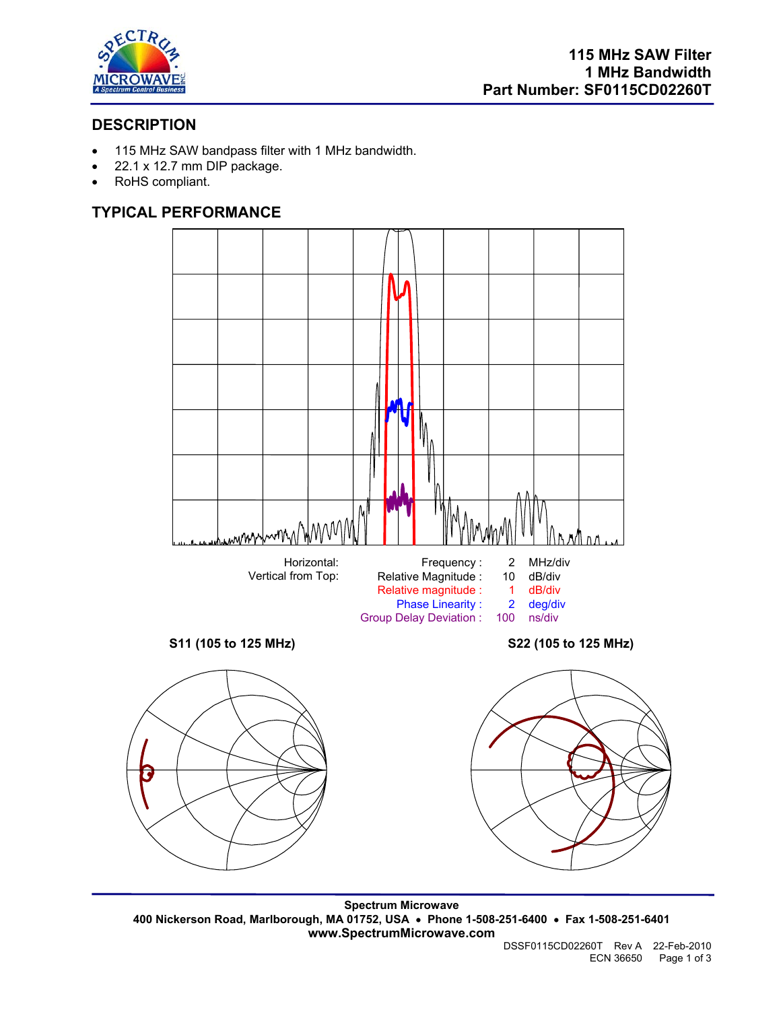

# **DESCRIPTION**

- 115 MHz SAW bandpass filter with 1 MHz bandwidth.
- 22.1 x 12.7 mm DIP package.
- RoHS compliant.

# **TYPICAL PERFORMANCE**



**Spectrum Microwave 400 Nickerson Road, Marlborough, MA 01752, USA** • **Phone 1-508-251-6400** • **Fax 1-508-251-6401 www.SpectrumMicrowave.com**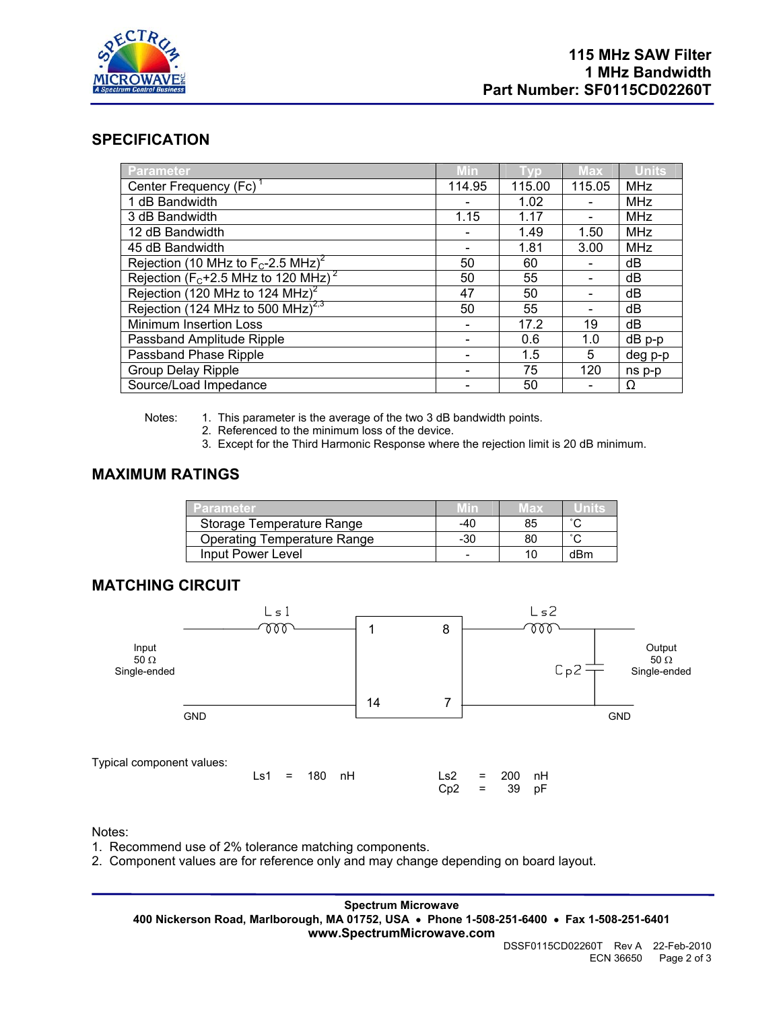

## **SPECIFICATION**

| <b>Parameter</b>                                    | Min    | <b>TVD</b> | <b>Max</b> | <b>Units</b> |
|-----------------------------------------------------|--------|------------|------------|--------------|
| Center Frequency (Fc)                               | 114.95 | 115.00     | 115.05     | <b>MHz</b>   |
| 1 dB Bandwidth                                      |        | 1.02       |            | <b>MHz</b>   |
| 3 dB Bandwidth                                      | 1.15   | 1.17       |            | <b>MHz</b>   |
| 12 dB Bandwidth                                     |        | 1.49       | 1.50       | <b>MHz</b>   |
| 45 dB Bandwidth                                     |        | 1.81       | 3.00       | <b>MHz</b>   |
| Rejection (10 MHz to $F_c$ -2.5 MHz) <sup>2</sup>   | 50     | 60         |            | dB           |
| Rejection ( $F_c$ +2.5 MHz to 120 MHz) <sup>2</sup> | 50     | 55         |            | dB           |
| Rejection (120 MHz to 124 MHz) <sup>2</sup>         | 47     | 50         |            | dB           |
| Rejection (124 MHz to 500 MHz) <sup>2,3</sup>       | 50     | 55         |            | dB           |
| Minimum Insertion Loss                              |        | 17.2       | 19         | dB           |
| Passband Amplitude Ripple                           |        | 0.6        | 1.0        | $dB$ p-p     |
| Passband Phase Ripple                               |        | 1.5        | 5          | deg p-p      |
| <b>Group Delay Ripple</b>                           |        | 75         | 120        | ns p-p       |
| Source/Load Impedance                               |        | 50         |            | Ω            |

Notes: 1. This parameter is the average of the two 3 dB bandwidth points.

- 2. Referenced to the minimum loss of the device.
- 3. Except for the Third Harmonic Response where the rejection limit is 20 dB minimum.

## **MAXIMUM RATINGS**

| Parameter.                         |     | VEX |        |
|------------------------------------|-----|-----|--------|
| Storage Temperature Range          | -40 | 85  |        |
| <b>Operating Temperature Range</b> | -30 | 80  | $\sim$ |
| Input Power Level                  |     | 10  | dBm    |

# **MATCHING CIRCUIT**



### Notes:

- 1. Recommend use of 2% tolerance matching components.
- 2. Component values are for reference only and may change depending on board layout.

**Spectrum Microwave 400 Nickerson Road, Marlborough, MA 01752, USA** • **Phone 1-508-251-6400** • **Fax 1-508-251-6401 www.SpectrumMicrowave.com**